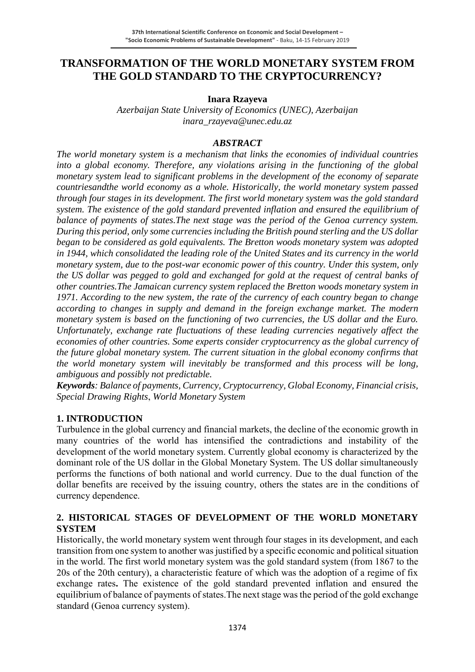# **TRANSFORMATION OF THE WORLD MONETARY SYSTEM FROM THE GOLD STANDARD TO THE CRYPTOCURRENCY?**

**Inara Rzayeva**

*Azerbaijan State University of Economics (UNEC), Azerbaijan inara\_rzayeva@unec.edu.az*

### *ABSTRACT*

*The world monetary system is a mechanism that links the economies of individual countries into a global economy. Therefore, any violations arising in the functioning of the global monetary system lead to significant problems in the development of the economy of separate countriesandthe world economy as a whole. Historically, the world monetary system passed through four stages in its development. The first world monetary system was the gold standard system. The existence of the gold standard prevented inflation and ensured the equilibrium of balance of payments of states.The next stage was the period of the Genoa currency system. During this period, only some currencies including the British pound sterling and the US dollar began to be considered as gold equivalents. The Bretton woods monetary system was adopted in 1944, which consolidated the leading role of the United States and its currency in the world monetary system, due to the post-war economic power of this country. Under this system, only the US dollar was pegged to gold and exchanged for gold at the request of central banks of other countries.The Jamaican currency system replaced the Bretton woods monetary system in 1971. According to the new system, the rate of the currency of each country began to change according to changes in supply and demand in the foreign exchange market. The modern monetary system is based on the functioning of two currencies, the US dollar and the Euro. Unfortunately, exchange rate fluctuations of these leading currencies negatively affect the economies of other countries. Some experts consider cryptocurrency as the global currency of the future global monetary system. The current situation in the global economy confirms that the world monetary system will inevitably be transformed and this process will be long, ambiguous and possibly not predictable.*

*Keywords: Balance of payments, Currency, Cryptocurrency, Global Economy, Financial crisis, Special Drawing Rights*, *World Monetary System*

### **1. INTRODUCTION**

Turbulence in the global currency and financial markets, the decline of the economic growth in many countries of the world has intensified the contradictions and instability of the development of the world monetary system. Currently global economy is characterized by the dominant role of the US dollar in the Global Monetary System. The US dollar simultaneously performs the functions of both national and world currency. Due to the dual function of the dollar benefits are received by the issuing country, others the states are in the conditions of currency dependence.

### **2. HISTORICAL STAGES OF DEVELOPMENT OF THE WORLD MONETARY SYSTEM**

Historically, the world monetary system went through four stages in its development, and each transition from one system to another was justified by a specific economic and political situation in the world. The first world monetary system was the gold standard system (from 1867 to the 20s of the 20th century), a characteristic feature of which was the adoption of a regime of fix exchange rates**.** The existence of the gold standard prevented inflation and ensured the equilibrium of balance of payments of states.The next stage was the period of the gold exchange standard (Genoa currency system).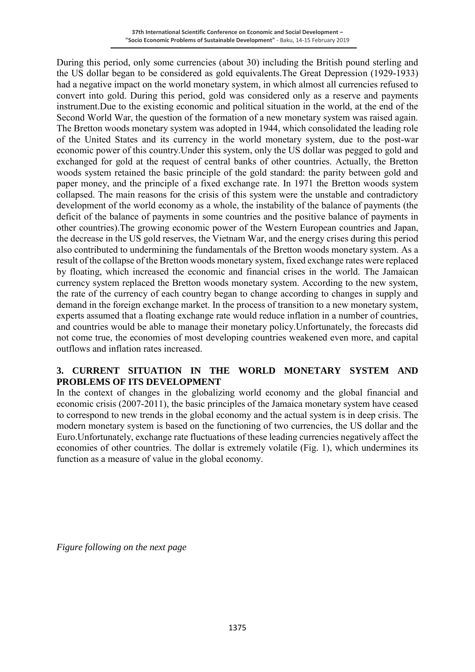During this period, only some currencies (about 30) including the British pound sterling and the US dollar began to be considered as gold equivalents.The Great Depression (1929-1933) had a negative impact on the world monetary system, in which almost all currencies refused to convert into gold. During this period, gold was considered only as a reserve and payments instrument.Due to the existing economic and political situation in the world, at the end of the Second World War, the question of the formation of a new monetary system was raised again. The Bretton woods monetary system was adopted in 1944, which consolidated the leading role of the United States and its currency in the world monetary system, due to the post-war economic power of this country.Under this system, only the US dollar was pegged to gold and exchanged for gold at the request of central banks of other countries. Actually, the Bretton woods system retained the basic principle of the gold standard: the parity between gold and paper money, and the principle of a fixed exchange rate. In 1971 the Bretton woods system collapsed. The main reasons for the crisis of this system were the unstable and contradictory development of the world economy as a whole, the instability of the balance of payments (the deficit of the balance of payments in some countries and the positive balance of payments in other countries).The growing economic power of the Western European countries and Japan, the decrease in the US gold reserves, the Vietnam War, and the energy crises during this period also contributed to undermining the fundamentals of the Bretton woods monetary system. As a result of the collapse of the Bretton woods monetary system, fixed exchange rates were replaced by floating, which increased the economic and financial crises in the world. The Jamaican currency system replaced the Bretton woods monetary system. According to the new system, the rate of the currency of each country began to change according to changes in supply and demand in the foreign exchange market. In the process of transition to a new monetary system, experts assumed that a floating exchange rate would reduce inflation in a number of countries, and countries would be able to manage their monetary policy.Unfortunately, the forecasts did not come true, the economies of most developing countries weakened even more, and capital outflows and inflation rates increased.

#### **3. CURRENT SITUATION IN THE WORLD MONETARY SYSTEM AND PROBLEMS OF ITS DEVELOPMENT**

In the context of changes in the globalizing world economy and the global financial and economic crisis (2007-2011), the basic principles of the Jamaica monetary system have ceased to correspond to new trends in the global economy and the actual system is in deep crisis. The modern monetary system is based on the functioning of two currencies, the US dollar and the Euro.Unfortunately, exchange rate fluctuations of these leading currencies negatively affect the economies of other countries. The dollar is extremely volatile (Fig. 1), which undermines its function as a measure of value in the global economy.

*Figure following on the next page*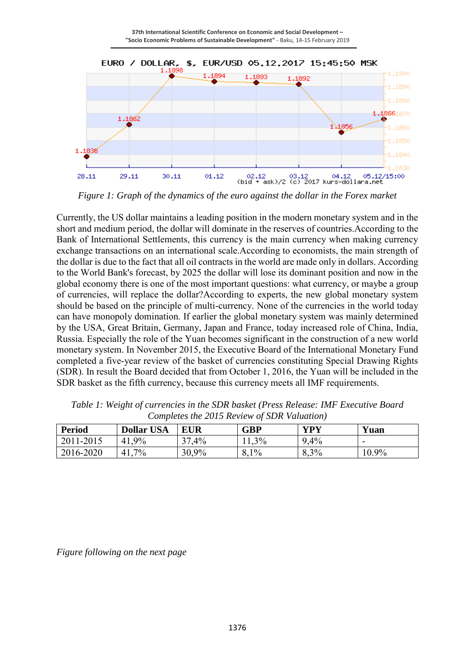

*Figure 1: Graph of the dynamics of the euro against the dollar in the Forex market*

Currently, the US dollar maintains a leading position in the modern monetary system and in the short and medium period, the dollar will dominate in the reserves of countries.According to the Bank of International Settlements, this currency is the main currency when making currency exchange transactions on an international scale.According to economists, the main strength of the dollar is due to the fact that all oil contracts in the world are made only in dollars. According to the World Bank's forecast, by 2025 the dollar will lose its dominant position and now in the global economy there is one of the most important questions: what currency, or maybe a group of currencies, will replace the dollar?According to experts, the new global monetary system should be based on the principle of multi-currency. None of the currencies in the world today can have monopoly domination. If earlier the global monetary system was mainly determined by the USA, Great Britain, Germany, Japan and France, today increased role of China, India, Russia. Especially the role of the Yuan becomes significant in the construction of a new world monetary system. In November 2015, the Executive Board of the International Monetary Fund completed a five-year review of the basket of currencies constituting Special Drawing Rights (SDR). In result the Board decided that from October 1, 2016, the Yuan will be included in the SDR basket as the fifth currency, because this currency meets all IMF requirements.

| <b>Period</b> | <b>Dollar USA</b>       | <b>EUR</b>         | <b>GBP</b> | VDV    | <b>Vuan</b> |
|---------------|-------------------------|--------------------|------------|--------|-------------|
| 2011-2015     | $9\%$<br>-41.           | $\gamma$<br>$,4\%$ | 11,3%      | $.4\%$ | -           |
| 2016-2020     | $7\%$<br>4 <sub>1</sub> | 30,9%              | 8,1%       | 8,3%   | $10.9\%$    |

*Table 1: Weight of currencies in the SDR basket (Press Release: IMF Executive Board Completes the 2015 Review of SDR Valuation)*

*Figure following on the next page*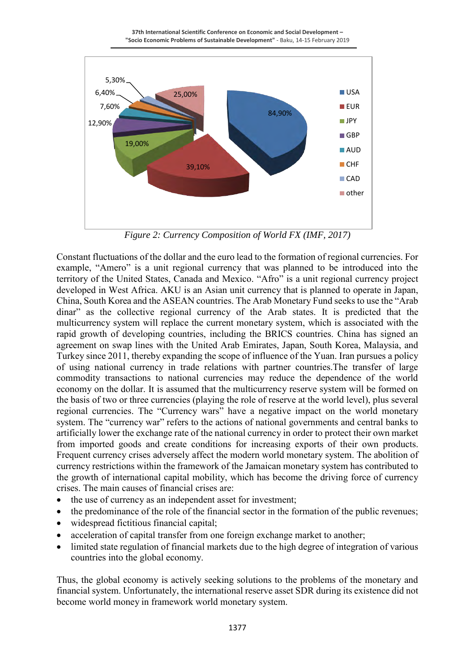**37th International Scientific Conference on Economic and Social Development – "Socio Economic Problems of Sustainable Development"** - Baku, 14-15 February 2019



*Figure 2: Currency Composition of World FX (IMF, 2017)*

Constant fluctuations of the dollar and the euro lead to the formation of regional currencies. For example, "Amero" is a unit regional currency that was planned to be introduced into the territory of the United States, Canada and Mexico. "Afro" is a unit regional currency project developed in West Africa. AKU is an Asian unit currency that is planned to operate in Japan, China, South Korea and the ASEAN countries. The Arab Monetary Fund seeks to use the "Arab dinar" as the collective regional currency of the Arab states. It is predicted that the multicurrency system will replace the current monetary system, which is associated with the rapid growth of developing countries, including the BRICS countries. China has signed an agreement on swap lines with the United Arab Emirates, Japan, South Korea, Malaysia, and Turkey since 2011, thereby expanding the scope of influence of the Yuan. Iran pursues a policy of using national currency in trade relations with partner countries.The transfer of large commodity transactions to national currencies may reduce the dependence of the world economy on the dollar. It is assumed that the multicurrency reserve system will be formed on the basis of two or three currencies (playing the role of reserve at the world level), plus several regional currencies. The "Currency wars" have a negative impact on the world monetary system. The "currency war" refers to the actions of national governments and central banks to artificially lower the exchange rate of the national currency in order to protect their own market from imported goods and create conditions for increasing exports of their own products. Frequent currency crises adversely affect the modern world monetary system. The abolition of currency restrictions within the framework of the Jamaican monetary system has contributed to the growth of international capital mobility, which has become the driving force of currency crises. The main causes of financial crises are:

- the use of currency as an independent asset for investment;
- the predominance of the role of the financial sector in the formation of the public revenues;
- widespread fictitious financial capital;
- acceleration of capital transfer from one foreign exchange market to another;
- limited state regulation of financial markets due to the high degree of integration of various countries into the global economy.

Thus, the global economy is actively seeking solutions to the problems of the monetary and financial system. Unfortunately, the international reserve asset SDR during its existence did not become world money in framework world monetary system.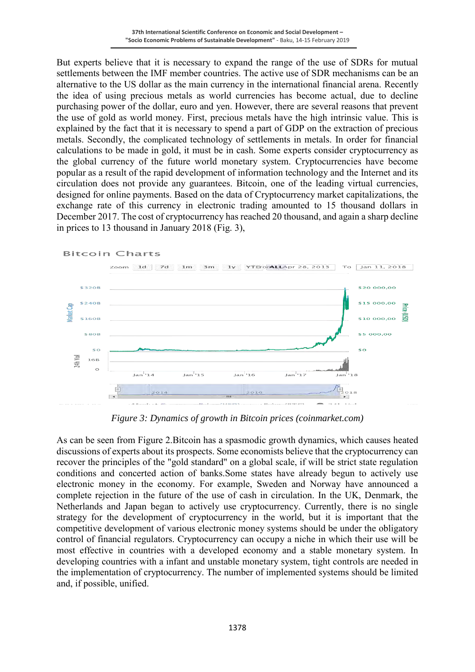But experts believe that it is necessary to expand the range of the use of SDRs for mutual settlements between the IMF member countries. The active use of SDR mechanisms can be an alternative to the US dollar as the main currency in the international financial arena. Recently the idea of using precious metals as world currencies has become actual, due to decline purchasing power of the dollar, euro and yen. However, there are several reasons that prevent the use of gold as world money. First, precious metals have the high intrinsic value. This is explained by the fact that it is necessary to spend a part of GDP on the extraction of precious metals. Secondly, the complicated technology of settlements in metals. In order for financial calculations to be made in gold, it must be in cash. Some experts consider cryptocurrency as the global currency of the future world monetary system. Cryptocurrencies have become popular as a result of the rapid development of information technology and the Internet and its circulation does not provide any guarantees. Bitcoin, one of the leading virtual currencies, designed for online payments. Based on the data of Cryptocurrency market capitalizations, the exchange rate of this currency in electronic trading amounted to 15 thousand dollars in December 2017. The cost of cryptocurrency has reached 20 thousand, and again a sharp decline in prices to 13 thousand in January 2018 (Fig. 3),



*Figure 3: Dynamics of growth in Bitcoin prices (coinmarket.com)*

As can be seen from Figure 2.Bitcoin has a spasmodic growth dynamics, which causes heated discussions of experts about its prospects. Some economists believe that the cryptocurrency can recover the principles of the "gold standard" on a global scale, if will be strict state regulation conditions and concerted action of banks.Some states have already begun to actively use electronic money in the economy. For example, Sweden and Norway have announced a complete rejection in the future of the use of cash in circulation. In the UK, Denmark, the Netherlands and Japan began to actively use cryptocurrency. Currently, there is no single strategy for the development of cryptocurrency in the world, but it is important that the competitive development of various electronic money systems should be under the obligatory control of financial regulators. Cryptocurrency can occupy a niche in which their use will be most effective in countries with a developed economy and a stable monetary system. In developing countries with a infant and unstable monetary system, tight controls are needed in the implementation of cryptocurrency. The number of implemented systems should be limited and, if possible, unified.